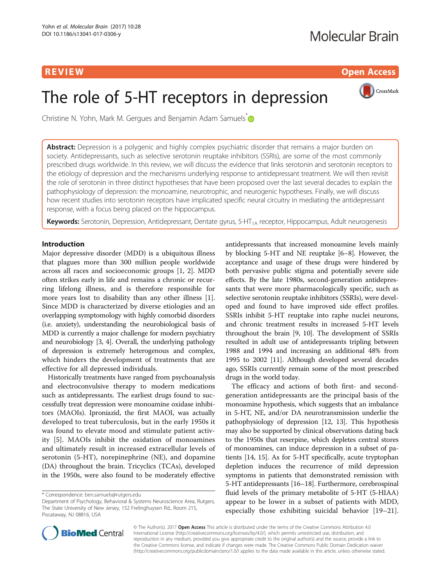**REVIEW CONSUMING THE CONSUMING OPEN ACCESS** 

# The role of 5-HT receptors in depression



Christine N. Yohn, Mark M. Gergues and Benjamin Adam Samuels<sup>\*</sup>

Abstract: Depression is a polygenic and highly complex psychiatric disorder that remains a major burden on society. Antidepressants, such as selective serotonin reuptake inhibitors (SSRIs), are some of the most commonly prescribed drugs worldwide. In this review, we will discuss the evidence that links serotonin and serotonin receptors to the etiology of depression and the mechanisms underlying response to antidepressant treatment. We will then revisit the role of serotonin in three distinct hypotheses that have been proposed over the last several decades to explain the pathophysiology of depression: the monoamine, neurotrophic, and neurogenic hypotheses. Finally, we will discuss how recent studies into serotonin receptors have implicated specific neural circuitry in mediating the antidepressant response, with a focus being placed on the hippocampus.

Keywords: Serotonin, Depression, Antidepressant, Dentate gyrus, 5-HT<sub>1A</sub> receptor, Hippocampus, Adult neurogenesis

## Introduction

Major depressive disorder (MDD) is a ubiquitous illness that plagues more than 300 million people worldwide across all races and socioeconomic groups [\[1, 2\]](#page-8-0). MDD often strikes early in life and remains a chronic or recurring lifelong illness, and is therefore responsible for more years lost to disability than any other illness [\[1](#page-8-0)]. Since MDD is characterized by diverse etiologies and an overlapping symptomology with highly comorbid disorders (i.e. anxiety), understanding the neurobiological basis of MDD is currently a major challenge for modern psychiatry and neurobiology [[3, 4\]](#page-8-0). Overall, the underlying pathology of depression is extremely heterogenous and complex, which hinders the development of treatments that are effective for all depressed individuals.

Historically treatments have ranged from psychoanalysis and electroconvulsive therapy to modern medications such as antidepressants. The earliest drugs found to successfully treat depression were monoamine oxidase inhibitors (MAOIs). Iproniazid, the first MAOI, was actually developed to treat tuberculosis, but in the early 1950s it was found to elevate mood and stimulate patient activity [[5\]](#page-8-0). MAOIs inhibit the oxidation of monoamines and ultimately result in increased extracellular levels of serotonin (5-HT), norepinephrine (NE), and dopamine (DA) throughout the brain. Tricyclics (TCAs), developed in the 1950s, were also found to be moderately effective

antidepressants that increased monoamine levels mainly by blocking 5-HT and NE reuptake [[6](#page-8-0)–[8](#page-8-0)]. However, the acceptance and usage of these drugs were hindered by both pervasive public stigma and potentially severe side effects. By the late 1980s, second-generation antidepressants that were more pharmacologically specific, such as selective serotonin reuptake inhibitors (SSRIs), were developed and found to have improved side effect profiles. SSRIs inhibit 5-HT reuptake into raphe nuclei neurons, and chronic treatment results in increased 5-HT levels throughout the brain [[9](#page-8-0), [10](#page-8-0)]. The development of SSRIs resulted in adult use of antidepressants tripling between 1988 and 1994 and increasing an additional 48% from 1995 to 2002 [[11](#page-8-0)]. Although developed several decades ago, SSRIs currently remain some of the most prescribed drugs in the world today.

The efficacy and actions of both first- and secondgeneration antidepressants are the principal basis of the monoamine hypothesis, which suggests that an imbalance in 5-HT, NE, and/or DA neurotransmission underlie the pathophysiology of depression [[12](#page-8-0), [13\]](#page-8-0). This hypothesis may also be supported by clinical observations dating back to the 1950s that reserpine, which depletes central stores of monoamines, can induce depression in a subset of patients [\[14, 15](#page-8-0)]. As for 5-HT specifically, acute tryptophan depletion induces the recurrence of mild depression symptoms in patients that demonstrated remission with 5-HT antidepressants [\[16](#page-8-0)–[18](#page-8-0)]. Furthermore, cerebrospinal fluid levels of the primary metabolite of 5-HT (5-HIAA) appear to be lower in a subset of patients with MDD, especially those exhibiting suicidal behavior [[19](#page-8-0)–[21](#page-8-0)].



© The Author(s). 2017 **Open Access** This article is distributed under the terms of the Creative Commons Attribution 4.0 International License [\(http://creativecommons.org/licenses/by/4.0/](http://creativecommons.org/licenses/by/4.0/)), which permits unrestricted use, distribution, and reproduction in any medium, provided you give appropriate credit to the original author(s) and the source, provide a link to the Creative Commons license, and indicate if changes were made. The Creative Commons Public Domain Dedication waiver [\(http://creativecommons.org/publicdomain/zero/1.0/](http://creativecommons.org/publicdomain/zero/1.0/)) applies to the data made available in this article, unless otherwise stated.

<sup>\*</sup> Correspondence: [ben.samuels@rutgers.edu](mailto:ben.samuels@rutgers.edu)

Department of Psychology, Behavioral & Systems Neuroscience Area, Rutgers, The State University of New Jersey, 152 Frelinghuysen Rd., Room 215, Piscataway, NJ 08816, USA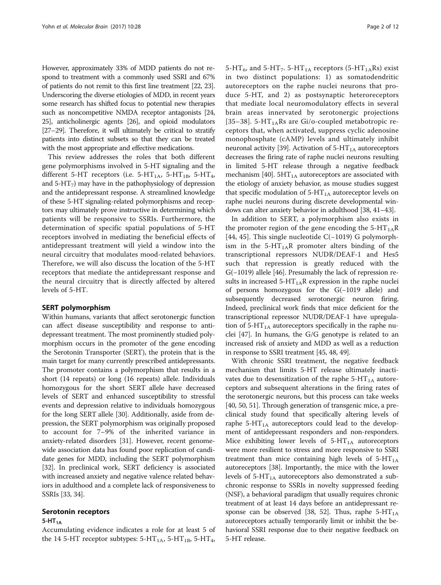However, approximately 33% of MDD patients do not respond to treatment with a commonly used SSRI and 67% of patients do not remit to this first line treatment [[22](#page-8-0), [23](#page-8-0)]. Underscoring the diverse etiologies of MDD, in recent years some research has shifted focus to potential new therapies such as noncompetitive NMDA receptor antagonists [\[24](#page-8-0), [25](#page-8-0)], anticholinergic agents [\[26\]](#page-8-0), and opioid modulators [[27](#page-8-0)–[29](#page-8-0)]. Therefore, it will ultimately be critical to stratify patients into distinct subsets so that they can be treated with the most appropriate and effective medications.

This review addresses the roles that both different gene polymorphisms involved in 5-HT signaling and the different 5-HT receptors (i.e.  $5$ -HT<sub>1A</sub>,  $5$ -HT<sub>1B</sub>,  $5$ -HT<sub>4</sub>, and  $5-HT_7$ ) may have in the pathophysiology of depression and the antidepressant response. A streamlined knowledge of these 5-HT signaling-related polymorphisms and receptors may ultimately prove instructive in determining which patients will be responsive to SSRIs. Furthermore, the determination of specific spatial populations of 5-HT receptors involved in mediating the beneficial effects of antidepressant treatment will yield a window into the neural circuitry that modulates mood-related behaviors. Therefore, we will also discuss the location of the 5-HT receptors that mediate the antidepressant response and the neural circuitry that is directly affected by altered levels of 5-HT.

## SERT polymorphism

Within humans, variants that affect serotonergic function can affect disease susceptibility and response to antidepressant treatment. The most prominently studied polymorphism occurs in the promoter of the gene encoding the Serotonin Transporter (SERT), the protein that is the main target for many currently prescribed antidepressants. The promoter contains a polymorphism that results in a short (14 repeats) or long (16 repeats) allele. Individuals homozygous for the short SERT allele have decreased levels of SERT and enhanced susceptibility to stressful events and depression relative to individuals homozygous for the long SERT allele [\[30\]](#page-8-0). Additionally, aside from depression, the SERT polymorphism was originally proposed to account for 7–9% of the inherited variance in anxiety-related disorders [[31](#page-8-0)]. However, recent genomewide association data has found poor replication of candidate genes for MDD, including the SERT polymorphism [[32](#page-8-0)]. In preclinical work, SERT deficiency is associated with increased anxiety and negative valence related behaviors in adulthood and a complete lack of responsiveness to SSRIs [\[33, 34](#page-8-0)].

## Serotonin receptors

#### 5-HT<sub>1A</sub>

Accumulating evidence indicates a role for at least 5 of the 14 5-HT receptor subtypes: 5-HT<sub>1A</sub>, 5-HT<sub>1B</sub>, 5-HT<sub>4</sub>, 5-HT<sub>6</sub>, and 5-HT<sub>7</sub>. 5-HT<sub>1A</sub> receptors (5-HT<sub>1A</sub>Rs) exist in two distinct populations: 1) as somatodendritic autoreceptors on the raphe nuclei neurons that produce 5-HT, and 2) as postsynaptic heteroreceptors that mediate local neuromodulatory effects in several brain areas innervated by serotonergic projections [[35](#page-8-0)–[38\]](#page-8-0). 5-HT<sub>1A</sub>Rs are Gi/o-coupled metabotropic receptors that, when activated, suppress cyclic adenosine monophosphate (cAMP) levels and ultimately inhibit neuronal activity [[39](#page-8-0)]. Activation of  $5-HT<sub>1A</sub>$  autoreceptors decreases the firing rate of raphe nuclei neurons resulting in limited 5-HT release through a negative feedback mechanism [[40](#page-8-0)].  $5HT_{1A}$  autoreceptors are associated with the etiology of anxiety behavior, as mouse studies suggest that specific modulation of  $5-HT_{1A}$  autoreceptor levels on raphe nuclei neurons during discrete developmental windows can alter anxiety behavior in adulthood [[38](#page-8-0), [41](#page-8-0)–[43](#page-8-0)].

In addition to SERT, a polymorphism also exists in the promoter region of the gene encoding the  $5-HT_{1A}R$ [[44, 45](#page-8-0)]. This single nucleotide C(-1019) G polymorphism in the  $5-HT_{1A}R$  promoter alters binding of the transcriptional repressors NUDR/DEAF-1 and Hes5 such that repression is greatly reduced with the G(−1019) allele [[46\]](#page-8-0). Presumably the lack of repression results in increased  $5-HT_{1A}R$  expression in the raphe nuclei of persons homozygous for the G(−1019 allele) and subsequently decreased serotonergic neuron firing. Indeed, preclinical work finds that mice deficient for the transcriptional repressor NUDR/DEAF-1 have upregulation of  $5-HT<sub>1A</sub>$  autoreceptors specifically in the raphe nuclei [[47](#page-8-0)]. In humans, the G/G genotype is related to an increased risk of anxiety and MDD as well as a reduction in response to SSRI treatment [\[45, 48](#page-8-0), [49](#page-8-0)].

With chronic SSRI treatment, the negative feedback mechanism that limits 5-HT release ultimately inactivates due to desensitization of the raphe  $5-HT_{1A}$  autoreceptors and subsequent alterations in the firing rates of the serotonergic neurons, but this process can take weeks [[40](#page-8-0), [50, 51](#page-8-0)]. Through generation of transgenic mice, a preclinical study found that specifically altering levels of raphe 5-HT<sub>1A</sub> autoreceptors could lead to the development of antidepressant responders and non-responders. Mice exhibiting lower levels of  $5-HT<sub>1A</sub>$  autoreceptors were more resilient to stress and more responsive to SSRI treatment than mice containing high levels of  $5-HT<sub>1A</sub>$ autoreceptors [\[38](#page-8-0)]. Importantly, the mice with the lower levels of  $5-HT_{1A}$  autoreceptors also demonstrated a subchronic response to SSRIs in novelty suppressed feeding (NSF), a behavioral paradigm that usually requires chronic treatment of at least 14 days before an antidepressant re-sponse can be observed [\[38,](#page-8-0) [52](#page-9-0)]. Thus, raphe  $5-HT<sub>1A</sub>$ autoreceptors actually temporarily limit or inhibit the behavioral SSRI response due to their negative feedback on 5-HT release.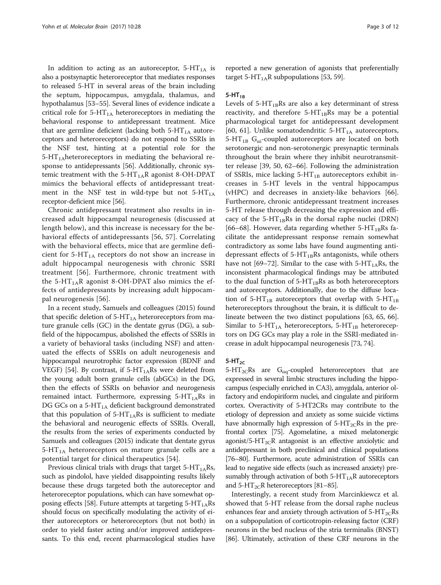In addition to acting as an autoreceptor,  $5-HT<sub>1A</sub>$  is also a postsynaptic heteroreceptor that mediates responses to released 5-HT in several areas of the brain including the septum, hippocampus, amygdala, thalamus, and hypothalamus [[53](#page-9-0)–[55\]](#page-9-0). Several lines of evidence indicate a critical role for  $5-HT<sub>1A</sub>$  heteroreceptors in mediating the behavioral response to antidepressant treatment. Mice that are germline deficient (lacking both  $5-HT_{1A}$  autoreceptors and heteroreceptors) do not respond to SSRIs in the NSF test, hinting at a potential role for the  $5-HT<sub>1A</sub>$ heteroreceptors in mediating the behavioral response to antidepressants [[56](#page-9-0)]. Additionally, chronic systemic treatment with the  $5-HT_{1A}R$  agonist 8-OH-DPAT mimics the behavioral effects of antidepressant treatment in the NSF test in wild-type but not  $5-HT_{1A}$ receptor-deficient mice [\[56\]](#page-9-0).

Chronic antidepressant treatment also results in increased adult hippocampal neurogenesis (discussed at length below), and this increase is necessary for the behavioral effects of antidepressants [[56, 57\]](#page-9-0). Correlating with the behavioral effects, mice that are germline deficient for  $5-HT_{1A}$  receptors do not show an increase in adult hippocampal neurogenesis with chronic SSRI treatment [[56\]](#page-9-0). Furthermore, chronic treatment with the 5-HT<sub>1A</sub>R agonist 8-OH-DPAT also mimics the effects of antidepressants by increasing adult hippocampal neurogenesis [\[56](#page-9-0)].

In a recent study, Samuels and colleagues (2015) found that specific deletion of  $5-HT<sub>1A</sub>$  heteroreceptors from mature granule cells (GC) in the dentate gyrus (DG), a subfield of the hippocampus, abolished the effects of SSRIs in a variety of behavioral tasks (including NSF) and attenuated the effects of SSRIs on adult neurogenesis and hippocampal neurotrophic factor expression (BDNF and VEGF) [\[54\]](#page-9-0). By contrast, if  $5-HT<sub>1A</sub>Rs$  were deleted from the young adult born granule cells (abGCs) in the DG, then the effects of SSRIs on behavior and neurogenesis remained intact. Furthermore, expressing  $5-HT_{1A}Rs$  in DG GCs on a 5-HT<sub>1A</sub> deficient background demonstrated that this population of  $5-HT<sub>1A</sub>Rs$  is sufficient to mediate the behavioral and neurogenic effects of SSRIs. Overall, the results from the series of experiments conducted by Samuels and colleagues (2015) indicate that dentate gyrus  $5-HT<sub>1A</sub>$  heteroreceptors on mature granule cells are a potential target for clinical therapeutics [[54\]](#page-9-0).

Previous clinical trials with drugs that target  $5-HT<sub>1A</sub>Rs$ , such as pindolol, have yielded disappointing results likely because these drugs targeted both the autoreceptor and heteroreceptor populations, which can have somewhat op-posing effects [\[58\]](#page-9-0). Future attempts at targeting  $5-HT_{1A}Rs$ should focus on specifically modulating the activity of either autoreceptors or heteroreceptors (but not both) in order to yield faster acting and/or improved antidepressants. To this end, recent pharmacological studies have

reported a new generation of agonists that preferentially target 5-HT<sub>1A</sub>R subpopulations [[53](#page-9-0), [59\]](#page-9-0).

## $5-HT_{1B}$

Levels of  $5-HT_{1B}Rs$  are also a key determinant of stress reactivity, and therefore  $5-HT_{1B}Rs$  may be a potential pharmacological target for antidepressant development [[60, 61\]](#page-9-0). Unlike somatodendritic 5-HT<sub>1A</sub> autoreceptors, 5-HT<sub>1B</sub> G<sub> $\alpha$ i</sub>-coupled autoreceptors are located on both serotonergic and non-serotonergic presynaptic terminals throughout the brain where they inhibit neurotransmitter release [[39, 50](#page-8-0), [62](#page-9-0)–[66](#page-9-0)]. Following the administration of SSRIs, mice lacking  $5-HT_{1B}$  autoreceptors exhibit increases in 5-HT levels in the ventral hippocampus (vHPC) and decreases in anxiety-like behaviors [\[66](#page-9-0)]. Furthermore, chronic antidepressant treatment increases 5-HT release through decreasing the expression and efficacy of the 5-HT<sub>1B</sub>Rs in the dorsal raphe nuclei (DRN) [[66](#page-9-0)–[68](#page-9-0)]. However, data regarding whether  $5-HT_{1B}Rs$  facilitate the antidepressant response remain somewhat contradictory as some labs have found augmenting antidepressant effects of  $5-HT_{1B}Rs$  antagonists, while others have not [\[69](#page-9-0)–[72](#page-9-0)]. Similar to the case with  $5-HT<sub>1A</sub>Rs$ , the inconsistent pharmacological findings may be attributed to the dual function of  $5-HT_{1B}Rs$  as both heteroreceptors and autoreceptors. Additionally, due to the diffuse location of 5-HT<sub>1B</sub> autoreceptors that overlap with 5-HT<sub>1B</sub> heteroreceptors throughout the brain, it is difficult to delineate between the two distinct populations [\[63, 65, 66](#page-9-0)]. Similar to 5-HT<sub>1A</sub> heteroreceptors, 5-HT<sub>1B</sub> heteroreceptors on DG GCs may play a role in the SSRI-mediated increase in adult hippocampal neurogenesis [\[73, 74](#page-9-0)].

## $5-HT_{2C}$

5-HT<sub>2C</sub>Rs are  $G_{\alpha q}$ -coupled heteroreceptors that are expressed in several limbic structures including the hippocampus (especially enriched in CA3), amygdala, anterior olfactory and endopiriform nuclei, and cingulate and piriform cortex. Overactivity of 5-HT2CRs may contribute to the etiology of depression and anxiety as some suicide victims have abnormally high expression of  $5-HT_{2C}Rs$  in the prefrontal cortex [[75](#page-9-0)]. Agomelatine, a mixed melatonergic agonist/5-HT<sub>2C</sub>R antagonist is an effective anxiolytic and antidepressant in both preclinical and clinical populations [[76](#page-9-0)–[80](#page-9-0)]. Furthermore, acute administration of SSRIs can lead to negative side effects (such as increased anxiety) presumably through activation of both  $5-HT_{1A}R$  autoreceptors and  $5$ -HT<sub>2C</sub>R heteroreceptors [\[81](#page-9-0)–[85\]](#page-9-0).

Interestingly, a recent study from Marcinkiewcz et al. showed that 5-HT release from the dorsal raphe nucleus enhances fear and anxiety through activation of  $5-HT_{2C}Rs$ on a subpopulation of corticotropin-releasing factor (CRF) neurons in the bed nucleus of the stria terminalis (BNST) [[86](#page-9-0)]. Ultimately, activation of these CRF neurons in the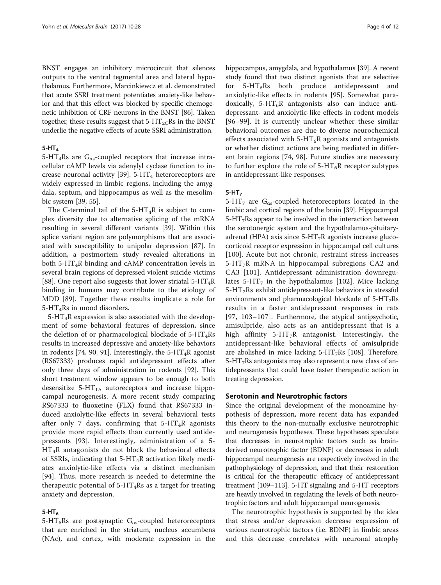BNST engages an inhibitory microcircuit that silences outputs to the ventral tegmental area and lateral hypothalamus. Furthermore, Marcinkiewcz et al. demonstrated that acute SSRI treatment potentiates anxiety-like behavior and that this effect was blocked by specific chemogenetic inhibition of CRF neurons in the BNST [\[86\]](#page-9-0). Taken together, these results suggest that  $5-HT_{2C}Rs$  in the BNST underlie the negative effects of acute SSRI administration.

## $5-HT<sub>4</sub>$

5-HT<sub>4</sub>Rs are G<sub> $\alpha$ s</sub>-coupled receptors that increase intracellular cAMP levels via adenylyl cyclase function to in-crease neuronal activity [[39](#page-8-0)].  $5-HT_4$  heteroreceptors are widely expressed in limbic regions, including the amygdala, septum, and hippocampus as well as the mesolimbic system [[39](#page-8-0), [55](#page-9-0)].

The C-terminal tail of the  $5-HT_4R$  is subject to complex diversity due to alternative splicing of the mRNA resulting in several different variants [[39\]](#page-8-0). Within this splice variant region are polymorphisms that are associated with susceptibility to unipolar depression [\[87\]](#page-9-0). In addition, a postmortem study revealed alterations in both  $5-HT_4R$  binding and cAMP concentration levels in several brain regions of depressed violent suicide victims [[88\]](#page-9-0). One report also suggests that lower striatal  $5-HT_4R$ binding in humans may contribute to the etiology of MDD [[89\]](#page-9-0). Together these results implicate a role for  $5-HT_4Rs$  in mood disorders.

 $5-HT_4R$  expression is also associated with the development of some behavioral features of depression, since the deletion of or pharmacological blockade of  $5-HT_4Rs$ results in increased depressive and anxiety-like behaviors in rodents [\[74, 90, 91](#page-9-0)]. Interestingly, the  $5-HT_4R$  agonist (RS67333) produces rapid antidepressant effects after only three days of administration in rodents [[92\]](#page-9-0). This short treatment window appears to be enough to both desensitize  $5-HT_{1A}$  autoreceptors and increase hippocampal neurogenesis. A more recent study comparing RS67333 to fluoxetine (FLX) found that RS67333 induced anxiolytic-like effects in several behavioral tests after only 7 days, confirming that  $5-HT_4R$  agonists provide more rapid effects than currently used antidepressants [\[93](#page-9-0)]. Interestingly, administration of a 5-  $HT<sub>4</sub>R$  antagonists do not block the behavioral effects of SSRIs, indicating that  $5-HT_4R$  activation likely mediates anxiolytic-like effects via a distinct mechanism [[94\]](#page-9-0). Thus, more research is needed to determine the therapeutic potential of  $5-HT_4Rs$  as a target for treating anxiety and depression.

## $5-HT<sub>6</sub>$

5-HT<sub>6</sub>Rs are postsynaptic  $G_{\alpha s}$ -coupled heteroreceptors that are enriched in the striatum, nucleus accumbens (NAc), and cortex, with moderate expression in the hippocampus, amygdala, and hypothalamus [\[39\]](#page-8-0). A recent study found that two distinct agonists that are selective for  $5-HT_6Rs$  both produce antidepressant and anxiolytic-like effects in rodents [[95\]](#page-9-0). Somewhat paradoxically,  $5-HT_6R$  antagonists also can induce antidepressant- and anxiolytic-like effects in rodent models [[96](#page-10-0)–[99](#page-10-0)]. It is currently unclear whether these similar behavioral outcomes are due to diverse neurochemical effects associated with  $5-HT_6R$  agonists and antagonists or whether distinct actions are being mediated in different brain regions [[74,](#page-9-0) [98\]](#page-10-0). Future studies are necessary to further explore the role of  $5-HT_6R$  receptor subtypes in antidepressant-like responses.

## $5-HT<sub>7</sub>$

5-HT<sub>7</sub> are G<sub> $\alpha$ s</sub>-coupled heteroreceptors located in the limbic and cortical regions of the brain [\[39\]](#page-8-0). Hippocampal  $5-HT<sub>7</sub>Rs$  appear to be involved in the interaction between the serotonergic system and the hypothalamus-pituitaryadrenal (HPA) axis since  $5-HT<sub>7</sub>R$  agonists increase glucocorticoid receptor expression in hippocampal cell cultures [[100](#page-10-0)]. Acute but not chronic, restraint stress increases  $5-HT<sub>7</sub>R$  mRNA in hippocampal subregions CA2 and CA3 [[101](#page-10-0)]. Antidepressant administration downregulates  $5-HT<sub>7</sub>$  in the hypothalamus [[102\]](#page-10-0). Mice lacking  $5-HT<sub>7</sub>Rs$  exhibit antidepressant-like behaviors in stressful environments and pharmacological blockade of  $5-HT_7Rs$ results in a faster antidepressant responses in rats [[97](#page-10-0), [103](#page-10-0)–[107\]](#page-10-0). Furthermore, the atypical antipsychotic, amisulpride, also acts as an antidepressant that is a high affinity  $5-HT_7R$  antagonist. Interestingly, the antidepressant-like behavioral effects of amisulpride are abolished in mice lacking  $5-HT<sub>7</sub>Rs$  [\[108\]](#page-10-0). Therefore,  $5-HT<sub>7</sub>Rs$  antagonists may also represent a new class of antidepressants that could have faster therapeutic action in treating depression.

## Serotonin and Neurotrophic factors

Since the original development of the monoamine hypothesis of depression, more recent data has expanded this theory to the non-mutually exclusive neurotrophic and neurogenesis hypotheses. These hypotheses speculate that decreases in neurotrophic factors such as brainderived neurotrophic factor (BDNF) or decreases in adult hippocampal neurogenesis are respectively involved in the pathophysiology of depression, and that their restoration is critical for the therapeutic efficacy of antidepressant treatment [\[109](#page-10-0)–[113](#page-10-0)]. 5-HT signaling and 5-HT receptors are heavily involved in regulating the levels of both neurotrophic factors and adult hippocampal neurogenesis.

The neurotrophic hypothesis is supported by the idea that stress and/or depression decrease expression of various neurotrophic factors (i.e. BDNF) in limbic areas and this decrease correlates with neuronal atrophy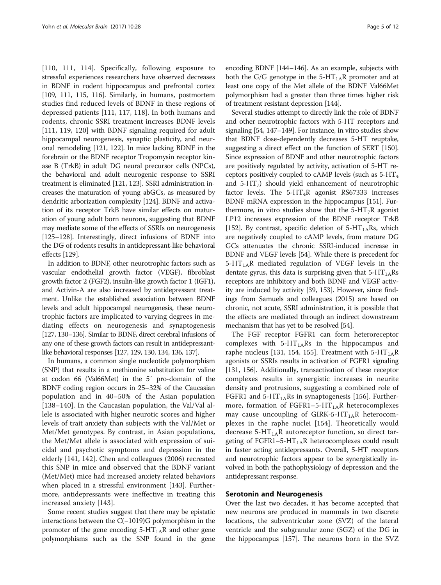[[110, 111](#page-10-0), [114\]](#page-10-0). Specifically, following exposure to stressful experiences researchers have observed decreases in BDNF in rodent hippocampus and prefrontal cortex [[109](#page-10-0), [111, 115, 116](#page-10-0)]. Similarly, in humans, postmortem studies find reduced levels of BDNF in these regions of depressed patients [\[111](#page-10-0), [117, 118](#page-10-0)]. In both humans and rodents, chronic SSRI treatment increases BDNF levels [[111, 119, 120\]](#page-10-0) with BDNF signaling required for adult hippocampal neurogenesis, synaptic plasticity, and neuronal remodeling [\[121](#page-10-0), [122](#page-10-0)]. In mice lacking BDNF in the forebrain or the BDNF receptor Tropomysin receptor kinase B (TrkB) in adult DG neural precursor cells (NPCs), the behavioral and adult neurogenic response to SSRI treatment is eliminated [\[121, 123\]](#page-10-0). SSRI administration increases the maturation of young abGCs, as measured by dendritic arborization complexity [\[124\]](#page-10-0). BDNF and activation of its receptor TrkB have similar effects on maturation of young adult born neurons, suggesting that BDNF may mediate some of the effects of SSRIs on neurogenesis [[125](#page-10-0)–[128\]](#page-10-0). Interestingly, direct infusions of BDNF into the DG of rodents results in antidepressant-like behavioral effects [[129](#page-10-0)].

In addition to BDNF, other neurotrophic factors such as vascular endothelial growth factor (VEGF), fibroblast growth factor 2 (FGF2), insulin-like growth factor 1 (IGF1), and Activin-A are also increased by antidepressant treatment. Unlike the established association between BDNF levels and adult hippocampal neurogenesis, these neurotrophic factors are implicated to varying degrees in mediating effects on neurogenesis and synaptogenesis [[127, 130](#page-10-0)–[136\]](#page-10-0). Similar to BDNF, direct cerebral infusions of any one of these growth factors can result in antidepressantlike behavioral responses [[127, 129](#page-10-0), [130, 134](#page-10-0), [136, 137](#page-10-0)].

In humans, a common single nucleotide polymorphism (SNP) that results in a methionine substitution for valine at codon 66 (Val66Met) in the 5′ pro-domain of the BDNF coding region occurs in 25–32% of the Caucasian population and in 40–50% of the Asian population [[138](#page-10-0)–[140\]](#page-10-0). In the Caucasian population, the Val/Val allele is associated with higher neurotic scores and higher levels of trait anxiety than subjects with the Val/Met or Met/Met genotypes. By contrast, in Asian populations, the Met/Met allele is associated with expression of suicidal and psychotic symptoms and depression in the elderly [[141, 142\]](#page-10-0). Chen and colleagues (2006) recreated this SNP in mice and observed that the BDNF variant (Met/Met) mice had increased anxiety related behaviors when placed in a stressful environment [[143\]](#page-11-0). Furthermore, antidepressants were ineffective in treating this increased anxiety [[143\]](#page-11-0).

Some recent studies suggest that there may be epistatic interactions between the C(−1019)G polymorphism in the promoter of the gene encoding  $5-HT_{1A}R$  and other gene polymorphisms such as the SNP found in the gene encoding BDNF [\[144](#page-11-0)–[146](#page-11-0)]. As an example, subjects with both the G/G genotype in the  $5-HT_{1A}R$  promoter and at least one copy of the Met allele of the BDNF Val66Met polymorphism had a greater than three times higher risk of treatment resistant depression [[144](#page-11-0)].

Several studies attempt to directly link the role of BDNF and other neurotrophic factors with 5-HT receptors and signaling [[54](#page-9-0), [147](#page-11-0)–[149\]](#page-11-0). For instance, in vitro studies show that BDNF dose-dependently decreases 5-HT reuptake, suggesting a direct effect on the function of SERT [[150](#page-11-0)]. Since expression of BDNF and other neurotrophic factors are positively regulated by activity, activation of 5-HT receptors positively coupled to cAMP levels (such as  $5-HT_4$ ) and  $5-HT_7$ ) should yield enhancement of neurotrophic factor levels. The  $5-HT_4R$  agonist RS67333 increases BDNF mRNA expression in the hippocampus [\[151\]](#page-11-0). Furthermore, in vitro studies show that the  $5-HT<sub>7</sub>R$  agonist LP12 increases expression of the BDNF receptor TrkB [[152](#page-11-0)]. By contrast, specific deletion of  $5-HT_{14}Rs$ , which are negatively coupled to cAMP levels, from mature DG GCs attenuates the chronic SSRI-induced increase in BDNF and VEGF levels [\[54\]](#page-9-0). While there is precedent for  $5-HT<sub>1A</sub>R$  mediated regulation of VEGF levels in the dentate gyrus, this data is surprising given that  $5-HT_{1A}Rs$ receptors are inhibitory and both BDNF and VEGF activity are induced by activity [[39](#page-8-0), [153](#page-11-0)]. However, since findings from Samuels and colleagues (2015) are based on chronic, not acute, SSRI administration, it is possible that the effects are mediated through an indirect downstream mechanism that has yet to be resolved [\[54\]](#page-9-0).

The FGF receptor FGFR1 can form heteroreceptor complexes with  $5-HT<sub>1A</sub>Rs$  in the hippocampus and raphe nucleus [[131,](#page-10-0) [154, 155](#page-11-0)]. Treatment with  $5-HT_{1A}R$ agonists or SSRIs results in activation of FGFR1 signaling [[131](#page-10-0), [156\]](#page-11-0). Additionally, transactivation of these receptor complexes results in synergistic increases in neurite density and protrusions, suggesting a combined role of FGFR1 and  $5-HT<sub>1A</sub>Rs$  in synaptogenesis [\[156](#page-11-0)]. Furthermore, formation of FGFR1-5-HT<sub>1A</sub>R heterocomplexes may cause uncoupling of GIRK-5-HT<sub>1A</sub>R heterocomplexes in the raphe nuclei [\[154](#page-11-0)]. Theoretically would decrease  $5-HT_{1A}R$  autoreceptor function, so direct targeting of FGFR1-5-HT<sub>1A</sub>R heterocomplexes could result in faster acting antidepressants. Overall, 5-HT receptors and neurotrophic factors appear to be synergistically involved in both the pathophysiology of depression and the antidepressant response.

## Serotonin and Neurogenesis

Over the last two decades, it has become accepted that new neurons are produced in mammals in two discrete locations, the subventricular zone (SVZ) of the lateral ventricle and the subgranular zone (SGZ) of the DG in the hippocampus [\[157](#page-11-0)]. The neurons born in the SVZ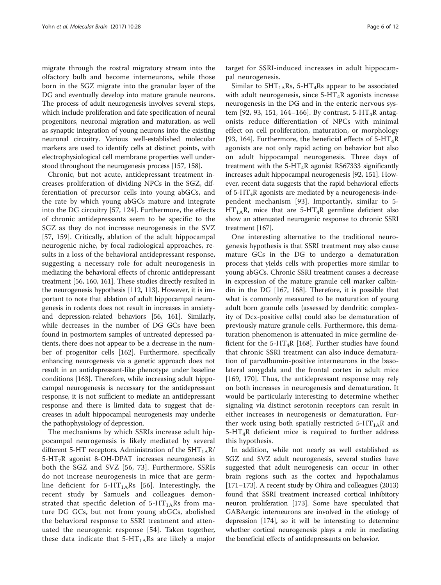migrate through the rostral migratory stream into the olfactory bulb and become interneurons, while those born in the SGZ migrate into the granular layer of the DG and eventually develop into mature granule neurons. The process of adult neurogenesis involves several steps, which include proliferation and fate specification of neural progenitors, neuronal migration and maturation, as well as synaptic integration of young neurons into the existing neuronal circuitry. Various well-established molecular markers are used to identify cells at distinct points, with electrophysiological cell membrane properties well understood throughout the neurogenesis process [[157, 158](#page-11-0)].

Chronic, but not acute, antidepressant treatment increases proliferation of dividing NPCs in the SGZ, differentiation of precursor cells into young abGCs, and the rate by which young abGCs mature and integrate into the DG circuitry [[57](#page-9-0), [124](#page-10-0)]. Furthermore, the effects of chronic antidepressants seem to be specific to the SGZ as they do not increase neurogenesis in the SVZ [[57,](#page-9-0) [159](#page-11-0)]. Critically, ablation of the adult hippocampal neurogenic niche, by focal radiological approaches, results in a loss of the behavioral antidepressant response, suggesting a necessary role for adult neurogenesis in mediating the behavioral effects of chronic antidepressant treatment [[56](#page-9-0), [160, 161](#page-11-0)]. These studies directly resulted in the neurogenesis hypothesis [[112](#page-10-0), [113\]](#page-10-0). However, it is important to note that ablation of adult hippocampal neurogenesis in rodents does not result in increases in anxietyand depression-related behaviors [[56](#page-9-0), [161](#page-11-0)]. Similarly, while decreases in the number of DG GCs have been found in postmortem samples of untreated depressed patients, there does not appear to be a decrease in the number of progenitor cells [\[162\]](#page-11-0). Furthermore, specifically enhancing neurogenesis via a genetic approach does not result in an antidepressant-like phenotype under baseline conditions [[163](#page-11-0)]. Therefore, while increasing adult hippocampal neurogenesis is necessary for the antidepressant response, it is not sufficient to mediate an antidepressant response and there is limited data to suggest that decreases in adult hippocampal neurogenesis may underlie the pathophysiology of depression.

The mechanisms by which SSRIs increase adult hippocampal neurogenesis is likely mediated by several different 5-HT receptors. Administration of the  $5HT_{1A}R/$  $5-HT_7R$  agonist 8-OH-DPAT increases neurogenesis in both the SGZ and SVZ [\[56, 73\]](#page-9-0). Furthermore, SSRIs do not increase neurogenesis in mice that are germline deficient for  $5-HT<sub>1A</sub>Rs$  [[56](#page-9-0)]. Interestingly, the recent study by Samuels and colleagues demonstrated that specific deletion of  $5-HT_{1A}Rs$  from mature DG GCs, but not from young abGCs, abolished the behavioral response to SSRI treatment and attenuated the neurogenic response [[54](#page-9-0)]. Taken together, these data indicate that  $5-HT_{1A}Rs$  are likely a major

target for SSRI-induced increases in adult hippocampal neurogenesis.

Similar to  $5HT<sub>1A</sub>Rs$ ,  $5-HT<sub>4</sub>Rs$  appear to be associated with adult neurogenesis, since  $5-HT_4R$  agonists increase neurogenesis in the DG and in the enteric nervous sys-tem [\[92](#page-9-0), [93,](#page-9-0) [151](#page-11-0), [164](#page-11-0)–[166](#page-11-0)]. By contrast, 5-HT<sub>4</sub>R antagonists reduce differentiation of NPCs with minimal effect on cell proliferation, maturation, or morphology [[93,](#page-9-0) [164](#page-11-0)]. Furthermore, the beneficial effects of  $5-HT_4R$ agonists are not only rapid acting on behavior but also on adult hippocampal neurogenesis. Three days of treatment with the  $5-HT_4R$  agonist RS67333 significantly increases adult hippocampal neurogenesis [[92](#page-9-0), [151\]](#page-11-0). However, recent data suggests that the rapid behavioral effects of  $5-HT_4R$  agonists are mediated by a neurogenesis-independent mechanism [[93](#page-9-0)]. Importantly, similar to 5-  $HT_{1A}R$ , mice that are 5-HT<sub>4</sub>R germline deficient also show an attenuated neurogenic response to chronic SSRI treatment [[167](#page-11-0)].

One interesting alternative to the traditional neurogenesis hypothesis is that SSRI treatment may also cause mature GCs in the DG to undergo a dematuration process that yields cells with properties more similar to young abGCs. Chronic SSRI treatment causes a decrease in expression of the mature granule cell marker calbindin in the DG [\[167, 168](#page-11-0)]. Therefore, it is possible that what is commonly measured to be maturation of young adult born granule cells (assessed by dendritic complexity of Dcx-positive cells) could also be dematuration of previously mature granule cells. Furthermore, this dematuration phenomenon is attenuated in mice germline de-ficient for the 5-HT<sub>4</sub>R [[168](#page-11-0)]. Further studies have found that chronic SSRI treatment can also induce dematuration of parvalbumin-positive interneurons in the basolateral amygdala and the frontal cortex in adult mice [[169, 170](#page-11-0)]. Thus, the antidepressant response may rely on both increases in neurogenesis and dematuration. It would be particularly interesting to determine whether signaling via distinct serotonin receptors can result in either increases in neurogenesis or dematuration. Further work using both spatially restricted  $5-HT_{1A}R$  and  $5-HT_4R$  deficient mice is required to further address this hypothesis.

In addition, while not nearly as well established as SGZ and SVZ adult neurogenesis, several studies have suggested that adult neurogenesis can occur in other brain regions such as the cortex and hypothalamus [[171](#page-11-0)–[173\]](#page-11-0). A recent study by Ohira and colleagues (2013) found that SSRI treatment increased cortical inhibitory neuron proliferation [[173](#page-11-0)]. Some have speculated that GABAergic interneurons are involved in the etiology of depression [\[174\]](#page-11-0), so it will be interesting to determine whether cortical neurogenesis plays a role in mediating the beneficial effects of antidepressants on behavior.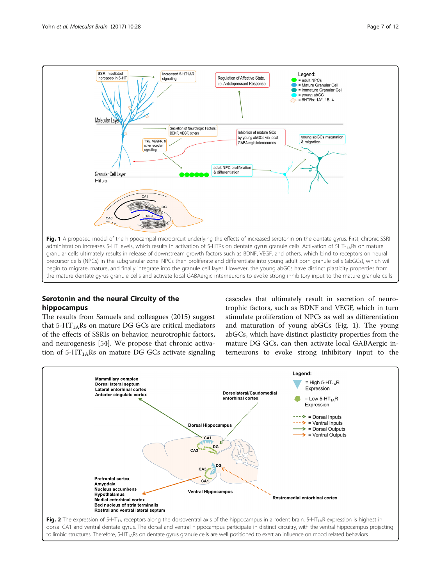<span id="page-6-0"></span>

## Serotonin and the neural Circuity of the hippocampus

The results from Samuels and colleagues (2015) suggest that 5-HT<sub>1A</sub>Rs on mature DG GCs are critical mediators of the effects of SSRIs on behavior, neurotrophic factors, and neurogenesis [\[54](#page-9-0)]. We propose that chronic activation of  $5-HT_{1A}Rs$  on mature DG GCs activate signaling cascades that ultimately result in secretion of neurotrophic factors, such as BDNF and VEGF, which in turn stimulate proliferation of NPCs as well as differentiation and maturation of young abGCs (Fig. 1). The young abGCs, which have distinct plasticity properties from the mature DG GCs, can then activate local GABAergic interneurons to evoke strong inhibitory input to the

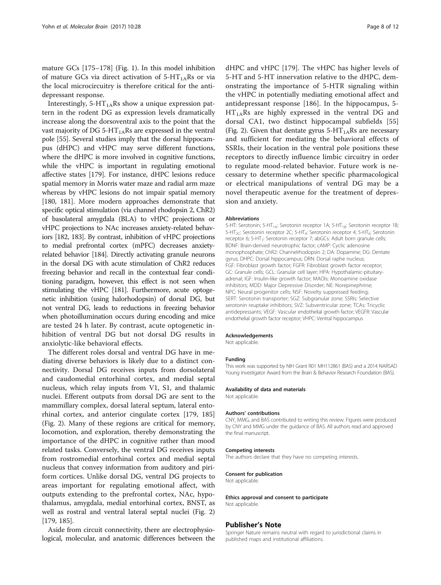mature GCs [[175](#page-11-0)–[178](#page-11-0)] (Fig. [1](#page-6-0)). In this model inhibition of mature GCs via direct activation of  $5-HT_{1A}Rs$  or via the local microcircuitry is therefore critical for the antidepressant response.

Interestingly,  $5-HT<sub>1A</sub>Rs$  show a unique expression pattern in the rodent DG as expression levels dramatically increase along the dorsoventral axis to the point that the vast majority of DG 5-HT<sub>1A</sub>Rs are expressed in the ventral pole [[55](#page-9-0)]. Several studies imply that the dorsal hippocampus (dHPC) and vHPC may serve different functions, where the dHPC is more involved in cognitive functions, while the vHPC is important in regulating emotional affective states [\[179\]](#page-11-0). For instance, dHPC lesions reduce spatial memory in Morris water maze and radial arm maze whereas by vHPC lesions do not impair spatial memory [[180](#page-11-0), [181\]](#page-11-0). More modern approaches demonstrate that specific optical stimulation (via channel rhodopsin 2, ChR2) of basolateral amygdala (BLA) to vHPC projections or vHPC projections to NAc increases anxiety-related behaviors [\[182](#page-11-0), [183](#page-11-0)]. By contrast, inhibition of vHPC projections to medial prefrontal cortex (mPFC) decreases anxietyrelated behavior [\[184](#page-11-0)]. Directly activating granule neurons in the dorsal DG with acute stimulation of ChR2 reduces freezing behavior and recall in the contextual fear conditioning paradigm, however, this effect is not seen when stimulating the vHPC [\[181](#page-11-0)]. Furthermore, acute optogenetic inhibition (using halorhodopsin) of dorsal DG, but not ventral DG, leads to reductions in freezing behavior when photoillumination occurs during encoding and mice are tested 24 h later. By contrast, acute optogenetic inhibition of ventral DG but not dorsal DG results in anxiolytic-like behavioral effects.

The different roles dorsal and ventral DG have in mediating diverse behaviors is likely due to a distinct connectivity. Dorsal DG receives inputs from dorsolateral and caudomedial entorhinal cortex, and medial septal nucleus, which relay inputs from V1, S1, and thalamic nuclei. Efferent outputs from dorsal DG are sent to the mammillary complex, dorsal lateral septum, lateral entorhinal cortex, and anterior cingulate cortex [[179, 185](#page-11-0)] (Fig. [2](#page-6-0)). Many of these regions are critical for memory, locomotion, and exploration, thereby demonstrating the importance of the dHPC in cognitive rather than mood related tasks. Conversely, the ventral DG receives inputs from rostromedial entorhinal cortex and medial septal nucleus that convey information from auditory and piriform cortices. Unlike dorsal DG, ventral DG projects to areas important for regulating emotional affect, with outputs extending to the prefrontal cortex, NAc, hypothalamus, amygdala, medial entorhinal cortex, BNST, as well as rostral and ventral lateral septal nuclei (Fig. [2](#page-6-0)) [[179, 185](#page-11-0)].

Aside from circuit connectivity, there are electrophysiological, molecular, and anatomic differences between the dHPC and vHPC [[179](#page-11-0)]. The vHPC has higher levels of 5-HT and 5-HT innervation relative to the dHPC, demonstrating the importance of 5-HTR signaling within the vHPC in potentially mediating emotional affect and antidepressant response [[186\]](#page-11-0). In the hippocampus, 5-  $HT<sub>1A</sub>Rs$  are highly expressed in the ventral DG and dorsal CA1, two distinct hippocampal subfields [\[55](#page-9-0)] (Fig. [2](#page-6-0)). Given that dentate gyrus  $5-HT<sub>1A</sub>Rs$  are necessary and sufficient for mediating the behavioral effects of SSRIs, their location in the ventral pole positions these receptors to directly influence limbic circuitry in order to regulate mood-related behavior. Future work is necessary to determine whether specific pharmacological or electrical manipulations of ventral DG may be a novel therapeutic avenue for the treatment of depression and anxiety.

#### Abbreviations

5-HT: Serotonin; 5-HT<sub>1A</sub>: Serotonin receptor 1A; 5-HT<sub>1B</sub>: Serotonin receptor 1B; 5-HT<sub>2C</sub>: Serotonin receptor 2C; 5-HT<sub>4</sub>: Serotonin receptor 4; 5-HT<sub>6</sub>: Serotonin receptor 6; 5-HT<sub>7</sub>: Serotonin receptor 7; abGCs: Adult born granule cells; BDNF: Brain-derived neurotrophic factor; cAMP: Cyclic adenosine monophosphate; ChR2: Channelrhodopsin 2; DA: Dopamine; DG: Dentate gyrus; DHPC: Dorsal hippocampus; DRN: Dorsal raphe nucleus; FGF: Fibroblast growth factor; FGFR: Fibroblast growth factor receptor; GC: Granule cells; GCL: Granular cell layer; HPA: Hypothalamic-pituitaryadrenal; IGF: Insulin-like growth factor; MAOIs: Monoamine oxidase inhibitors; MDD: Major Depressive Disorder; NE: Norepinephrine; NPC: Neural progenitor cells; NSF: Novelty suppressed feeding; SERT: Serotonin transporter; SGZ: Subgranular zone; SSRIs: Selective serotonin reuptake inhibitors; SVZ: Subventricular zone; TCAs: Tricyclic antidepressants; VEGF: Vascular endothelial growth factor; VEGFR: Vascular endothelial growth factor receptor; VHPC: Ventral hippocampus

#### Acknowledgements

Not applicable.

#### Funding

This work was supported by NIH Grant R01 MH112861 (BAS) and a 2014 NARSAD Young Investigator Award from the Brain & Behavior Research Foundation (BAS).

#### Availability of data and materials

Not applicable.

#### Authors' contributions

CNY, MMG, and BAS contributed to writing this review. Figures were produced by CNY and MMG under the guidance of BAS. All authors read and approved the final manuscript.

#### Competing interests

The authors declare that they have no competing interests.

#### Consent for publication

Not applicable.

#### Ethics approval and consent to participate Not applicable.

#### Publisher's Note

Springer Nature remains neutral with regard to jurisdictional claims in published maps and institutional affiliations.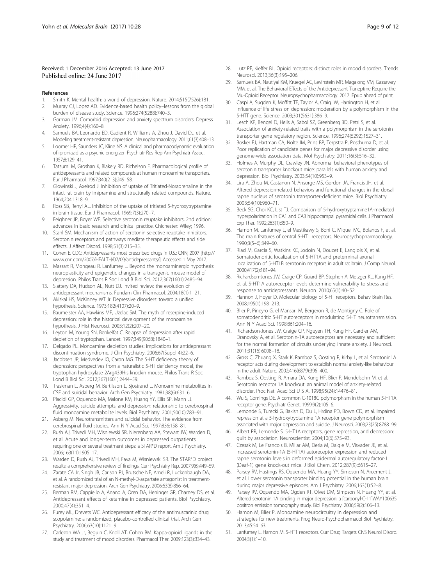## <span id="page-8-0"></span>Received: 1 December 2016 Accepted: 13 June 2017 Published online: 24 June 2017

#### References

- 1. Smith K. Mental health: a world of depression. Nature. 2014;515(7526):181.
- 2. Murray CJ, Lopez AD. Evidence-based health policy–lessons from the global
- burden of disease study. Science. 1996;274(5288):740–3. 3. Gorman JM. Comorbid depression and anxiety spectrum disorders. Depress Anxiety. 1996;4(4):160–8.
- 4. Samuels BA, Leonardo ED, Gadient R, Williams A, Zhou J, David DJ, et al. Modeling treatment-resistant depression. Neuropharmacology. 2011;61(3):408–13.
- 5. Loomer HP, Saunders JC, Kline NS. A clinical and pharmacodynamic evaluation of iproniazid as a psychic energizer. Psychiatr Res Rep Am Psychiatr Assoc. 1957;8:129–41.
- 6. Tatsumi M, Groshan K, Blakely RD, Richelson E. Pharmacological profile of antidepressants and related compounds at human monoamine transporters. Eur J Pharmacol. 1997;340(2–3):249–58.
- 7. Glowinski J, Axelrod J. Inhibition of uptake of Tritiated-Noradrenaline in the intact rat brain by Imipramine and structurally related compounds. Nature. 1964;204:1318–9.
- Ross SB, Renyi AL. Inhibition of the uptake of tritiated 5-hydroxytryptamine in brain tissue. Eur J Pharmacol. 1969;7(3):270–7.
- 9. Feighner JP, Boyer WF. Selective serotonin reuptake inhibitors, 2nd edition: advances in basic research and clinical practice. Chichester: Wiley; 1996.
- 10. Stahl SM. Mechanism of action of serotonin selective reuptake inhibitors. Serotonin receptors and pathways mediate therapeutic effects and side effects. J Affect Disord. 1998;51(3):215–35.
- 11. Cohen E. CDC: Antidepressants most prescribed drugs in U.S.: CNN; 2007 [[http://](http://www.cnn.com/2007/HEALTH/07/09/antidepressants/) [www.cnn.com/2007/HEALTH/07/09/antidepressants/](http://www.cnn.com/2007/HEALTH/07/09/antidepressants/)]. Accessed 1 May 2017.
- 12. Massart R, Mongeau R, Lanfumey L. Beyond the monoaminergic hypothesis: neuroplasticity and epigenetic changes in a transgenic mouse model of depression. Philos Trans R Soc Lond B Biol Sci. 2012;367(1601):2485–94.
- 13. Slattery DA, Hudson AL, Nutt DJ. Invited review: the evolution of antidepressant mechanisms. Fundam Clin Pharmacol. 2004;18(1):1–21.
- 14. Akiskal HS, McKinney WT Jr. Depressive disorders: toward a unified hypothesis. Science. 1973;182(4107):20–9.
- 15. Baumeister AA, Hawkins MF, Uzelac SM. The myth of reserpine-induced depression: role in the historical development of the monoamine hypothesis. J Hist Neurosci. 2003;12(2):207–20.
- 16. Leyton M, Young SN, Benkelfat C. Relapse of depression after rapid depletion of tryptophan. Lancet. 1997;349(9068):1840–1.
- 17. Delgado PL. Monoamine depletion studies: implications for antidepressant discontinuation syndrome. J Clin Psychiatry. 2006;67(Suppl 4):22–6.
- 18. Jacobsen JP, Medvedev IO, Caron MG. The 5-HT deficiency theory of depression: perspectives from a naturalistic 5-HT deficiency model, the tryptophan hydroxylase 2Arg439His knockin mouse. Philos Trans R Soc Lond B Biol Sci. 2012;367(1601):2444–59.
- 19. Traskman L, Asberg M, Bertilsson L, Sjostrand L. Monoamine metabolites in CSF and suicidal behavior. Arch Gen Psychiatry. 1981;38(6):631–6.
- 20. Placidi GP, Oquendo MA, Malone KM, Huang YY, Ellis SP, Mann JJ. Aggressivity, suicide attempts, and depression: relationship to cerebrospinal fluid monoamine metabolite levels. Biol Psychiatry. 2001;50(10):783–91.
- 21. Asberg M. Neurotransmitters and suicidal behavior. The evidence from cerebrospinal fluid studies. Ann N Y Acad Sci. 1997;836:158–81.
- 22. Rush AJ, Trivedi MH, Wisniewski SR, Nierenberg AA, Stewart JW, Warden D, et al. Acute and longer-term outcomes in depressed outpatients requiring one or several treatment steps: a STAR\*D report. Am J Psychiatry. 2006;163(11):1905–17.
- 23. Warden D, Rush AJ, Trivedi MH, Fava M, Wisniewski SR. The STAR\*D project results: a comprehensive review of findings. Curr Psychiatry Rep. 2007;9(6):449–59.
- 24. Zarate CA Jr, Singh JB, Carlson PJ, Brutsche NE, Ameli R, Luckenbaugh DA, et al. A randomized trial of an N-methyl-D-aspartate antagonist in treatmentresistant major depression. Arch Gen Psychiatry. 2006;63(8):856–64.
- 25. Berman RM, Cappiello A, Anand A, Oren DA, Heninger GR, Charney DS, et al. Antidepressant effects of ketamine in depressed patients. Biol Psychiatry. 2000;47(4):351–4.
- 26. Furey ML, Drevets WC. Antidepressant efficacy of the antimuscarinic drug scopolamine: a randomized, placebo-controlled clinical trial. Arch Gen Psychiatry. 2006;63(10):1121–9.
- 27. Carlezon WA Jr, Beguin C, Knoll AT, Cohen BM. Kappa-opioid ligands in the study and treatment of mood disorders. Pharmacol Ther. 2009;123(3):334–43.
- 28. Lutz PE, Kieffer BL. Opioid receptors: distinct roles in mood disorders. Trends Neurosci. 2013;36(3):195–206.
- 29. Samuels BA, Nautiyal KM, Kruegel AC, Levinstein MR, Magalong VM, Gassaway MM, et al. The Behavioral Effects of the Antidepressant Tianeptine Require the Mu-Opioid Receptor. Neuropsychopharmacology. 2017. Epub ahead of print.
- 30. Caspi A, Sugden K, Moffitt TE, Taylor A, Craig IW, Harrington H, et al. Influence of life stress on depression: moderation by a polymorphism in the 5-HTT gene. Science. 2003;301(5631):386–9.
- 31. Lesch KP, Bengel D, Heils A, Sabol SZ, Greenberg BD, Petri S, et al. Association of anxiety-related traits with a polymorphism in the serotonin transporter gene regulatory region. Science. 1996;274(5292):1527–31.
- 32. Bosker FJ, Hartman CA, Nolte IM, Prins BP, Terpstra P, Posthuma D, et al. Poor replication of candidate genes for major depressive disorder using genome-wide association data. Mol Psychiatry. 2011;16(5):516–32.
- 33. Holmes A, Murphy DL, Crawley JN. Abnormal behavioral phenotypes of serotonin transporter knockout mice: parallels with human anxiety and depression. Biol Psychiatry. 2003;54(10):953–9.
- 34. Lira A, Zhou M, Castanon N, Ansorge MS, Gordon JA, Francis JH, et al. Altered depression-related behaviors and functional changes in the dorsal raphe nucleus of serotonin transporter-deficient mice. Biol Psychiatry. 2003;54(10):960–71.
- 35. Beck SG, Choi KC, List TJ. Comparison of 5-hydroxytryptamine1A-mediated hyperpolarization in CA1 and CA3 hippocampal pyramidal cells. J Pharmacol Exp Ther. 1992;263(1):350–9.
- 36. Hamon M, Lanfumey L, el Mestikawy S, Boni C, Miquel MC, Bolanos F, et al. The main features of central 5-HT1 receptors. Neuropsychopharmacology. 1990;3(5–6):349–60.
- 37. Riad M, Garcia S, Watkins KC, Jodoin N, Doucet E, Langlois X, et al. Somatodendritic localization of 5-HT1A and preterminal axonal localization of 5-HT1B serotonin receptors in adult rat brain. J Comp Neurol. 2000;417(2):181–94.
- 38. Richardson-Jones JW, Craige CP, Guiard BP, Stephen A, Metzger KL, Kung HF, et al. 5-HT1A autoreceptor levels determine vulnerability to stress and response to antidepressants. Neuron. 2010;65(1):40–52.
- 39. Hannon J, Hoyer D. Molecular biology of 5-HT receptors. Behav Brain Res. 2008;195(1):198–213.
- 40. Blier P, Pineyro G, el Mansari M, Bergeron R, de Montigny C. Role of somatodendritic 5-HT autoreceptors in modulating 5-HT neurotransmission. Ann N Y Acad Sci. 1998;861:204–16.
- 41. Richardson-Jones JW, Craige CP, Nguyen TH, Kung HF, Gardier AM, Dranovsky A, et al. Serotonin-1A autoreceptors are necessary and sufficient for the normal formation of circuits underlying innate anxiety. J Neurosci. 2011;31(16):6008–18.
- 42. Gross C, Zhuang X, Stark K, Ramboz S, Oosting R, Kirby L, et al. Serotonin1A receptor acts during development to establish normal anxiety-like behaviour in the adult. Nature. 2002;416(6879):396–400.
- 43. Ramboz S, Oosting R, Amara DA, Kung HF, Blier P, Mendelsohn M, et al. Serotonin receptor 1A knockout: an animal model of anxiety-related disorder. Proc Natl Acad Sci U S A. 1998;95(24):14476–81.
- 44. Wu S, Comings DE. A common C-1018G polymorphism in the human 5-HT1A receptor gene. Psychiatr Genet. 1999;9(2):105–6.
- 45. Lemonde S, Turecki G, Bakish D, Du L, Hrdina PD, Bown CD, et al. Impaired repression at a 5-hydroxytryptamine 1A receptor gene polymorphism associated with major depression and suicide. J Neurosci. 2003;23(25):8788–99.
- 46. Albert PR, Lemonde S. 5-HT1A receptors, gene repression, and depression: guilt by association. Neuroscientist. 2004;10(6):575–93.
- 47. Czesak M, Le Francois B, Millar AM, Deria M, Daigle M, Visvader JE, et al. Increased serotonin-1A (5-HT1A) autoreceptor expression and reduced raphe serotonin levels in deformed epidermal autoregulatory factor-1 (Deaf-1) gene knock-out mice. J Biol Chem. 2012;287(9):6615–27.
- 48. Parsey RV, Hastings RS, Oquendo MA, Huang YY, Simpson N, Arcement J, et al. Lower serotonin transporter binding potential in the human brain during major depressive episodes. Am J Psychiatry. 2006;163(1):52–8.
- 49. Parsey RV, Oquendo MA, Ogden RT, Olvet DM, Simpson N, Huang YY, et al. Altered serotonin 1A binding in major depression: a [carbonyl-C-11]WAY100635 positron emission tomography study. Biol Psychiatry. 2006;59(2):106–13.
- 50. Hamon M, Blier P. Monoamine neurocircuitry in depression and strategies for new treatments. Prog Neuro-Psychopharmacol Biol Psychiatry. 2013;45:54–63.
- 51. Lanfumey L, Hamon M. 5-HT1 receptors. Curr Drug Targets CNS Neurol Disord. 2004;3(1):1–10.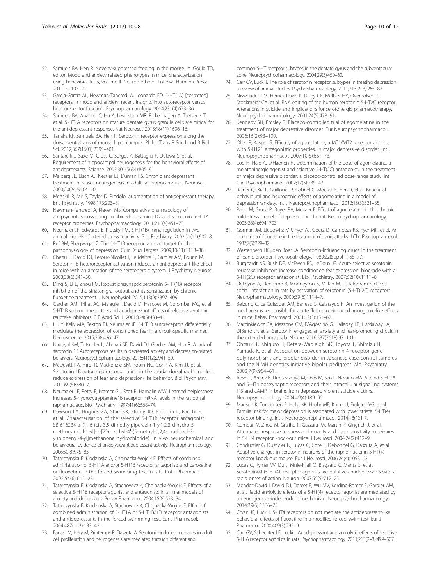- <span id="page-9-0"></span>52. Samuels BA, Hen R. Novelty-suppressed feeding in the mouse. In: Gould TD, editor. Mood and anxiety related phenotypes in mice: characterization using behavioral tests, volume II. Neuromethods. Totowa: Humana Press; 2011. p. 107–21.
- 53. Garcia-Garcia AL, Newman-Tancredi A, Leonardo ED. 5-HT(1A) [corrected] receptors in mood and anxiety: recent insights into autoreceptor versus heteroreceptor function. Psychopharmacology. 2014;231(4):623–36.
- 54. Samuels BA, Anacker C, Hu A, Levinstein MR, Pickenhagen A, Tsetsenis T, et al. 5-HT1A receptors on mature dentate gyrus granule cells are critical for the antidepressant response. Nat Neurosci. 2015;18(11):1606–16.
- 55. Tanaka KF, Samuels BA, Hen R. Serotonin receptor expression along the dorsal-ventral axis of mouse hippocampus. Philos Trans R Soc Lond B Biol Sci. 2012;367(1601):2395–401.
- 56. Santarelli L, Saxe M, Gross C, Surget A, Battaglia F, Dulawa S, et al. Requirement of hippocampal neurogenesis for the behavioral effects of antidepressants. Science. 2003;301(5634):805–9.
- 57. Malberg JE, Eisch AJ, Nestler EJ, Duman RS. Chronic antidepressant treatment increases neurogenesis in adult rat hippocampus. J Neurosci. 2000;20(24):9104–10.
- 58. McAskill R, Mir S, Taylor D. Pindolol augmentation of antidepressant therapy. Br J Psychiatry. 1998;173:203–8.
- 59. Newman-Tancredi A, Kleven MS. Comparative pharmacology of antipsychotics possessing combined dopamine D2 and serotonin 5-HT1A receptor properties. Psychopharmacology. 2011;216(4):451–73.
- 60. Neumaier JF, Edwards E, Plotsky PM. 5-HT(1B) mrna regulation in two animal models of altered stress reactivity. Biol Psychiatry. 2002;51(11):902–8.
- 61. Ruf BM, Bhagwagar Z. The 5-HT1B receptor: a novel target for the pathophysiology of depression. Curr Drug Targets. 2009;10(11):1118–38.
- 62. Chenu F, David DJ, Leroux-Nicollet I, Le Maitre E, Gardier AM, Bourin M. Serotonin1B heteroreceptor activation induces an antidepressant-like effect in mice with an alteration of the serotonergic system. J Psychiatry Neurosci. 2008;33(6):541–50.
- 63. Ding S, Li L, Zhou FM. Robust presynaptic serotonin 5-HT(1B) receptor inhibition of the striatonigral output and its sensitization by chronic fluoxetine treatment. J Neurophysiol. 2015;113(9):3397–409.
- 64. Gardier AM, Trillat AC, Malagie I, David D, Hascoet M, Colombel MC, et al. 5-HT1B serotonin receptors and antidepressant effects of selective serotonin reuptake inhibitors. C R Acad Sci III. 2001;324(5):433–41.
- 65. Liu Y, Kelly MA, Sexton TJ, Neumaier JF. 5-HT1B autoreceptors differentially modulate the expression of conditioned fear in a circuit-specific manner. Neuroscience. 2015;298:436–47.
- 66. Nautiyal KM, Tritschler L, Ahmari SE, David DJ, Gardier AM, Hen R. A lack of serotonin 1B Autoreceptors results in decreased anxiety and depression-related behaviors. Neuropsychopharmacology. 2016;41(12):2941–50.
- 67. McDevitt RA, Hiroi R, Mackenzie SM, Robin NC, Cohn A, Kim JJ, et al. Serotonin 1B autoreceptors originating in the caudal dorsal raphe nucleus reduce expression of fear and depression-like behavior. Biol Psychiatry. 2011;69(8):780–7.
- 68. Neumaier JF, Petty F, Kramer GL, Szot P, Hamblin MW. Learned helplessness increases 5-hydroxytryptamine1B receptor mRNA levels in the rat dorsal raphe nucleus. Biol Psychiatry. 1997;41(6):668–74.
- 69. Dawson LA, Hughes ZA, Starr KR, Storey JD, Bettelini L, Bacchi F, et al. Characterisation of the selective 5-HT1B receptor antagonist SB-616234-a (1-[6-(cis-3,5-dimethylpiperazin-1-yl)-2,3-dihydro-5 methoxyindol-1-yl]-1-[2′-met hyl-4′-(5-methyl-1,2,4-oxadiazol-3 yl)biphenyl-4-yl]methanone hydrochloride): in vivo neurochemical and behavioural evidence of anxiolytic/antidepressant activity. Neuropharmacology. 2006;50(8):975–83.
- 70. Tatarczynska E, Klodzinska A, Chojnacka-Wojcik E. Effects of combined administration of 5-HT1A and/or 5-HT1B receptor antagonists and paroxetine or fluoxetine in the forced swimming test in rats. Pol J Pharmacol. 2002;54(6):615–23.
- 71. Tatarczynska E, Klodzinska A, Stachowicz K, Chojnacka-Wojcik E. Effects of a selective 5-HT1B receptor agonist and antagonists in animal models of anxiety and depression. Behav Pharmacol. 2004;15(8):523–34.
- 72. Tatarczynska E, Klodzinska A, Stachowicz K, Chojnacka-Wojcik E. Effect of combined administration of 5-HT1A or 5-HT1B/1D receptor antagonists and antidepressants in the forced swimming test. Eur J Pharmacol. 2004;487(1–3):133–42.
- 73. Banasr M, Hery M, Printemps R, Daszuta A. Serotonin-induced increases in adult cell proliferation and neurogenesis are mediated through different and

common 5-HT receptor subtypes in the dentate gyrus and the subventricular zone. Neuropsychopharmacology. 2004;29(3):450–60.

- 74. Carr GV, Lucki I. The role of serotonin receptor subtypes in treating depression: a review of animal studies. Psychopharmacology. 2011;213(2–3):265–87.
- 75. Niswender CM, Herrick-Davis K, Dilley GE, Meltzer HY, Overholser JC, Stockmeier CA, et al. RNA editing of the human serotonin 5-HT2C receptor. Alterations in suicide and implications for serotonergic pharmacotherapy. Neuropsychopharmacology. 2001;24(5):478–91.
- 76. Kennedy SH, Emsley R. Placebo-controlled trial of agomelatine in the treatment of major depressive disorder. Eur Neuropsychopharmacol. 2006;16(2):93–100.
- 77. Olie JP, Kasper S. Efficacy of agomelatine, a MT1/MT2 receptor agonist with 5-HT2C antagonistic properties, in major depressive disorder. Int J Neuropsychopharmacol. 2007;10(5):661–73.
- 78. Loo H, Hale A, D'Haenen H. Determination of the dose of agomelatine, a melatoninergic agonist and selective 5-HT(2C) antagonist, in the treatment of major depressive disorder: a placebo-controlled dose range study. Int Clin Psychopharmacol. 2002;17(5):239–47.
- 79. Rainer Q, Xia L, Guilloux JP, Gabriel C, Mocaer E, Hen R, et al. Beneficial behavioural and neurogenic effects of agomelatine in a model of depression/anxiety. Int J Neuropsychopharmacol. 2012;15(3):321–35.
- 80. Papp M, Gruca P, Boyer PA, Mocaer E. Effect of agomelatine in the chronic mild stress model of depression in the rat. Neuropsychopharmacology. 2003;28(4):694–703.
- 81. Gorman JM, Liebowitz MR, Fyer AJ, Goetz D, Campeas RB, Fyer MR, et al. An open trial of fluoxetine in the treatment of panic attacks. J Clin Psychopharmacol. 1987;7(5):329–32.
- 82. Westenberg HG, den Boer JA. Serotonin-influencing drugs in the treatment of panic disorder. Psychopathology. 1989;22(Suppl 1):68–77.
- 83. Burghardt NS, Bush DE, McEwen BS, LeDoux JE. Acute selective serotonin reuptake inhibitors increase conditioned fear expression: blockade with a 5-HT(2C) receptor antagonist. Biol Psychiatry. 2007;62(10):1111–8.
- 84. Dekeyne A, Denorme B, Monneyron S, Millan MJ. Citalopram reduces social interaction in rats by activation of serotonin (5-HT)(2C) receptors. Neuropharmacology. 2000;39(6):1114–7.
- 85. Belzung C, Le Guisquet AM, Barreau S, Calatayud F. An investigation of the mechanisms responsible for acute fluoxetine-induced anxiogenic-like effects in mice. Behav Pharmacol. 2001;12(3):151–62.
- 86. Marcinkiewcz CA, Mazzone CM, D'Agostino G, Halladay LR, Hardaway JA, DiBerto JF, et al. Serotonin engages an anxiety and fear-promoting circuit in the extended amygdala. Nature. 2016;537(7618):97–101.
- 87. Ohtsuki T, Ishiguro H, Detera-Wadleigh SD, Toyota T, Shimizu H, Yamada K, et al. Association between serotonin 4 receptor gene polymorphisms and bipolar disorder in Japanese case-control samples and the NIMH genetics initiative bipolar pedigrees. Mol Psychiatry. 2002;7(9):954–61.
- 88. Rosel P, Arranz B, Urretavizcaya M, Oros M, San L, Navarro MA. Altered 5-HT2A and 5-HT4 postsynaptic receptors and their intracellular signalling systems IP3 and cAMP in brains from depressed violent suicide victims. Neuropsychobiology. 2004;49(4):189–95.
- 89. Madsen K, Torstensen E, Holst KK, Haahr ME, Knorr U, Frokjaer VG, et al. Familial risk for major depression is associated with lower striatal 5-HT(4) receptor binding. Int J Neuropsychopharmacol. 2014;18(1):1-7.
- 90. Compan V, Zhou M, Grailhe R, Gazzara RA, Martin R, Gingrich J, et al. Attenuated response to stress and novelty and hypersensitivity to seizures in 5-HT4 receptor knock-out mice. J Neurosci. 2004;24(2):412–9.
- 91. Conductier G, Dusticier N, Lucas G, Cote F, Debonnel G, Daszuta A, et al. Adaptive changes in serotonin neurons of the raphe nuclei in 5-HT(4) receptor knock-out mouse. Eur J Neurosci. 2006;24(4):1053–62.
- 92. Lucas G, Rymar VV, Du J, Mnie-Filali O, Bisgaard C, Manta S, et al. Serotonin(4) (5-HT(4)) receptor agonists are putative antidepressants with a rapid onset of action. Neuron. 2007;55(5):712–25.
- 93. Mendez-David I, David DJ, Darcet F, Wu MV, Kerdine-Romer S, Gardier AM, et al. Rapid anxiolytic effects of a 5-HT(4) receptor agonist are mediated by a neurogenesis-independent mechanism. Neuropsychopharmacology. 2014;39(6):1366–78.
- 94. Cryan JF, Lucki I. 5-HT4 receptors do not mediate the antidepressant-like behavioral effects of fluoxetine in a modified forced swim test. Eur J Pharmacol. 2000;409(3):295–9.
- 95. Carr GV, Schechter LE, Lucki I. Antidepressant and anxiolytic effects of selective 5-HT6 receptor agonists in rats. Psychopharmacology. 2011;213(2–3):499–507.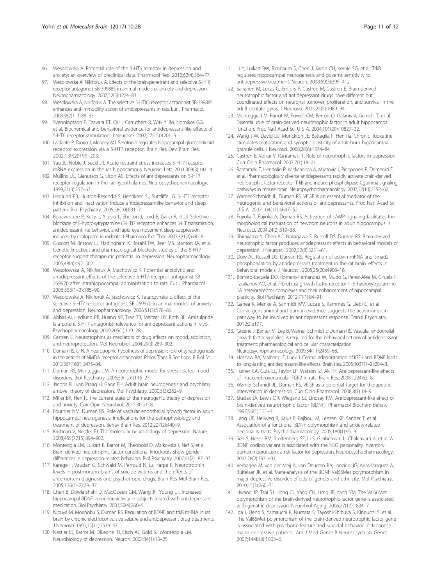- <span id="page-10-0"></span>96. Wesolowska A. Potential role of the 5-HT6 receptor in depression and anxiety: an overview of preclinical data. Pharmacol Rep. 2010;62(4):564–77.
- 97. Wesolowska A, Nikiforuk A. Effects of the brain-penetrant and selective 5-HT6 receptor antagonist SB-399885 in animal models of anxiety and depression. Neuropharmacology. 2007;52(5):1274–83.
- 98. Wesolowska A, Nikiforuk A. The selective 5-HT(6) receptor antagonist SB-399885 enhances anti-immobility action of antidepressants in rats. Eur J Pharmacol. 2008;582(1–3):88–93.
- 99. Svenningsson P, Tzavara ET, Qi H, Carruthers R, Witkin JM, Nomikos GG, et al. Biochemical and behavioral evidence for antidepressant-like effects of 5-HT6 receptor stimulation. J Neurosci. 2007;27(15):4201–9.
- 100. Laplante P, Diorio J, Meaney MJ. Serotonin regulates hippocampal glucocorticoid receptor expression via a 5-HT7 receptor. Brain Res Dev Brain Res. 2002;139(2):199–203.
- 101. Yau JL, Noble J, Seckl JR. Acute restraint stress increases 5-HT7 receptor mRNA expression in the rat hippocampus. Neurosci Lett. 2001;309(3):141–4.
- 102. Mullins UL, Gianutsos G, Eison AS. Effects of antidepressants on 5-HT7 receptor regulation in the rat hypothalamus. Neuropsychopharmacology. 1999;21(3):352–67.
- 103. Hedlund PB, Huitron-Resendiz S, Henriksen SJ, Sutcliffe JG. 5-HT7 receptor inhibition and inactivation induce antidepressantlike behavior and sleep pattern. Biol Psychiatry. 2005;58(10):831–7.
- 104. Bonaventure P, Kelly L, Aluisio L, Shelton J, Lord B, Galici R, et al. Selective blockade of 5-hydroxytryptamine (5-HT)7 receptors enhances 5-HT transmission, antidepressant-like behavior, and rapid eye movement sleep suppression induced by citalopram in rodents. J Pharmacol Exp Ther. 2007;321(2):690–8.
- 105. Guscott M, Bristow LJ, Hadingham K, Rosahl TW, Beer MS, Stanton JA, et al. Genetic knockout and pharmacological blockade studies of the 5-HT7 receptor suggest therapeutic potential in depression. Neuropharmacology. 2005;48(4):492–502.
- 106. Wesolowska A, Nikiforuk A, Stachowicz K. Potential anxiolytic and antidepressant effects of the selective 5-HT7 receptor antagonist SB 269970 after intrahippocampal administration to rats. Eur J Pharmacol. 2006;553(1–3):185–90.
- 107. Wesolowska A, Nikiforuk A, Stachowicz K, Tatarczynska E. Effect of the selective 5-HT7 receptor antagonist SB 269970 in animal models of anxiety and depression. Neuropharmacology. 2006;51(3):578–86.
- 108. Abbas AI, Hedlund PB, Huang XP, Tran TB, Meltzer HY, Roth BL. Amisulpride is a potent 5-HT7 antagonist: relevance for antidepressant actions in vivo. Psychopharmacology. 2009;205(1):119–28.
- 109. Castren E. Neurotrophins as mediators of drug effects on mood, addiction, and neuroprotection. Mol Neurobiol. 2004;29(3):289–302.
- 110. Duman RS, Li N. A neurotrophic hypothesis of depression: role of synaptogenesis in the actions of NMDA receptor antagonists. Philos Trans R Soc Lond B Biol Sci. 2012;367(1601):2475–84.
- 111. Duman RS, Monteggia LM. A neurotrophic model for stress-related mood disorders. Biol Psychiatry. 2006;59(12):1116–27.
- 112. Jacobs BL, van Praag H, Gage FH. Adult brain neurogenesis and psychiatry: a novel theory of depression. Mol Psychiatry. 2000;5(3):262–9.
- 113. Miller BR, Hen R. The current state of the neurogenic theory of depression and anxiety. Curr Opin Neurobiol. 2015;30:51–8.
- 114. Fournier NM, Duman RS. Role of vascular endothelial growth factor in adult hippocampal neurogenesis: implications for the pathophysiology and treatment of depression. Behav Brain Res. 2012;227(2):440–9.
- 115. Krishnan V, Nestler EJ. The molecular neurobiology of depression. Nature. 2008;455(7215):894–902.
- 116. Monteggia LM, Luikart B, Barrot M, Theobold D, Malkovska I, Nef S, et al. Brain-derived neurotrophic factor conditional knockouts show gender differences in depression-related behaviors. Biol Psychiatry. 2007;61(2):187–97.
- 117. Karege F, Vaudan G, Schwald M, Perroud N, La Harpe R. Neurotrophin levels in postmortem brains of suicide victims and the effects of antemortem diagnosis and psychotropic drugs. Brain Res Mol Brain Res. 2005;136(1–2):29–37.
- 118. Chen B, Dowlatshahi D, MacQueen GM, Wang JF, Young LT. Increased hippocampal BDNF immunoreactivity in subjects treated with antidepressant medication. Biol Psychiatry. 2001;50(4):260–5.
- 119. Nibuya M, Morinobu S, Duman RS. Regulation of BDNF and trkB mRNA in rat brain by chronic electroconvulsive seizure and antidepressant drug treatments. J Neurosci. 1995;15(11):7539–47.
- 120. Nestler EJ, Barrot M, DiLeone RJ, Eisch AJ, Gold SJ, Monteggia LM. Neurobiology of depression. Neuron. 2002;34(1):13–25.
- 121. Li Y, Luikart BW, Birnbaum S, Chen J, Kwon CH, Kernie SG, et al. TrkB regulates hippocampal neurogenesis and governs sensitivity to antidepressive treatment. Neuron. 2008;59(3):399–412.
- 122. Sairanen M, Lucas G, Ernfors P, Castren M, Castren E. Brain-derived neurotrophic factor and antidepressant drugs have different but coordinated effects on neuronal turnover, proliferation, and survival in the adult dentate gyrus. J Neurosci. 2005;25(5):1089–94.
- 123. Monteggia LM, Barrot M, Powell CM, Berton O, Galanis V, Gemelli T, et al. Essential role of brain-derived neurotrophic factor in adult hippocampal function. Proc Natl Acad Sci U S A. 2004;101(29):10827–32.
- 124. Wang J-W, David DJ, Monckton JE, Battaglia F. Hen Rà. Chronic fluoxetine stimulates maturation and synaptic plasticity of adult-born hippocampal granule cells. J Neurosci. 2008;28(6):1374–84.
- 125. Castren E, Voikar V, Rantamaki T. Role of neurotrophic factors in depression. Curr Opin Pharmacol. 2007;7(1):18–21.
- 126. Rantamaki T, Hendolin P, Kankaanpaa A, Mijatovic J, Piepponen P, Domenici E, et al. Pharmacologically diverse antidepressants rapidly activate brain-derived neurotrophic factor receptor TrkB and induce phospholipase-Cgamma signaling pathways in mouse brain. Neuropsychopharmacology. 2007;32(10):2152–62.
- 127. Warner-Schmidt JL, Duman RS. VEGF is an essential mediator of the neurogenic and behavioral actions of antidepressants. Proc Natl Acad Sci U S A. 2007;104(11):4647–52.
- 128. Fujioka T, Fujioka A, Duman RS. Activation of cAMP signaling facilitates the morphological maturation of newborn neurons in adult hippocampus. J Neurosci. 2004;24(2):319–28.
- 129. Shirayama Y, Chen AC, Nakagawa S, Russell DS, Duman RS. Brain-derived neurotrophic factor produces antidepressant effects in behavioral models of depression. J Neurosci. 2002;22(8):3251–61.
- 130. Dow AL, Russell DS, Duman RS. Regulation of activin mRNA and Smad2 phosphorylation by antidepressant treatment in the rat brain: effects in behavioral models. J Neurosci. 2005;25(20):4908–16.
- 131. Borroto-Escuela DO, Romero-Fernandez W, Mudo G, Perez-Alea M, Ciruela F, Tarakanov AO, et al. Fibroblast growth factor receptor 1- 5-hydroxytryptamine 1A heteroreceptor complexes and their enhancement of hippocampal plasticity. Biol Psychiatry. 2012;71(1):84–91.
- 132. Ganea K, Menke A, Schmidt MV, Lucae S, Rammes G, Liebl C, et al. Convergent animal and human evidence suggests the activin/inhibin pathway to be involved in antidepressant response. Transl Psychiatry. 2012;2:e177.
- 133. Greene J, Banasr M, Lee B, Warner-Schmidt J, Duman RS. Vascular endothelial growth factor signaling is required for the behavioral actions of antidepressant treatment: pharmacological and cellular characterization. Neuropsychopharmacology. 2009;34(11):2459–68.
- 134. Hoshaw BA, Malberg JE, Lucki I. Central administration of IGF-I and BDNF leads to long-lasting antidepressant-like effects. Brain Res. 2005;1037(1–2):204–8.
- 135. Turner CA, Gula EL, Taylor LP, Watson SJ, Akil H. Antidepressant-like effects of intracerebroventricular FGF2 in rats. Brain Res. 2008;1224:63–8.
- 136. Warner-Schmidt JL, Duman RS. VEGF as a potential target for therapeutic intervention in depression. Curr Opin Pharmacol. 2008;8(1):14–9.
- 137. Siuciak JA, Lewis DR, Wiegand SJ, Lindsay RM. Antidepressant-like effect of brain-derived neurotrophic factor (BDNF). Pharmacol Biochem Behav. 1997;56(1):131–7.
- 138. Lang UE, Hellweg R, Kalus P, Bajbouj M, Lenzen KP, Sander T, et al. Association of a functional BDNF polymorphism and anxiety-related personality traits. Psychopharmacology. 2005;180(1):95–9.
- 139. Sen S, Nesse RM, Stoltenberg SF, Li S, Gleiberman L, Chakravarti A, et al. A BDNF coding variant is associated with the NEO personality inventory domain neuroticism, a risk factor for depression. Neuropsychopharmacology. 2003;28(2):397–401.
- 140. Verhagen M, van der Meij A, van Deurzen PA, Janzing JG, Arias-Vasquez A, Buitelaar JK, et al. Meta-analysis of the BDNF Val66Met polymorphism in major depressive disorder: effects of gender and ethnicity. Mol Psychiatry. 2010;15(3):260–71.
- 141. Hwang JP, Tsai SJ, Hong CJ, Yang CH, Lirng JF, Yang YM. The Val66Met polymorphism of the brain-derived neurotrophic-factor gene is associated with geriatric depression. Neurobiol Aging. 2006;27(12):1834–7.
- 142. Iga J, Ueno S, Yamauchi K, Numata S, Tayoshi-Shibuya S, Kinouchi S, et al. The Val66Met polymorphism of the brain-derived neurotrophic factor gene is associated with psychotic feature and suicidal behavior in Japanese major depressive patients. Am J Med Genet B Neuropsychiatr Genet. 2007;144B(8):1003–6.